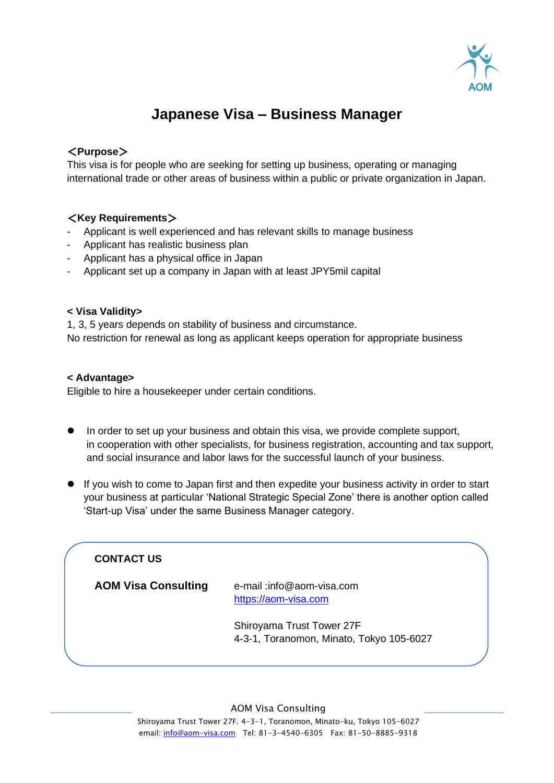

# **Japanese Visa – Business Manager**

### <**Purpose**>

This visa is for people who are seeking for setting up business, operating or managing international trade or other areas of business within a public or private organization in Japan.

### <**Key Requirements**>

- Applicant is well experienced and has relevant skills to manage business
- Applicant has realistic business plan
- Applicant has a physical office in Japan
- Applicant set up a company in Japan with at least JPY5mil capital

### **< Visa Validity>**

1, 3, 5 years depends on stability of business and circumstance. No restriction for renewal as long as applicant keeps operation for appropriate business

### **< Advantage>**

Eligible to hire a housekeeper under certain conditions.

- ⚫ In order to set up your business and obtain this visa, we provide complete support, in cooperation with other specialists, for business registration, accounting and tax support, and social insurance and labor laws for the successful launch of your business.
- If you wish to come to Japan first and then expedite your business activity in order to start your business at particular 'National Strategic Special Zone' there is another option called 'Start-up Visa' under the same Business Manager category.

### **CONTACT US**

**AOM Visa Consulting** e-mail :info@aom-visa.com [https://aom-visa.com](https://aom-visa.com/)

> Shiroyama Trust Tower 27F 4-3-1, Toranomon, Minato, Tokyo 105-6027